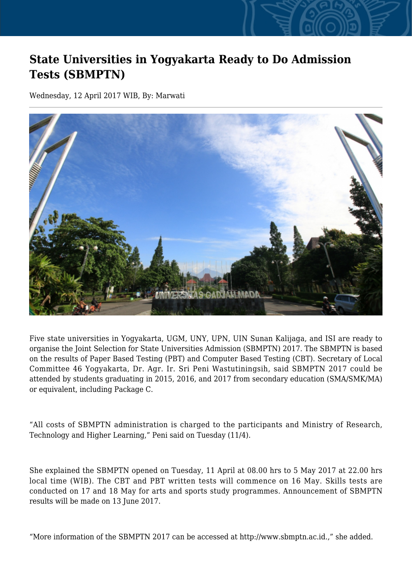## **State Universities in Yogyakarta Ready to Do Admission Tests (SBMPTN)**

Wednesday, 12 April 2017 WIB, By: Marwati



Five state universities in Yogyakarta, UGM, UNY, UPN, UIN Sunan Kalijaga, and ISI are ready to organise the Joint Selection for State Universities Admission (SBMPTN) 2017. The SBMPTN is based on the results of Paper Based Testing (PBT) and Computer Based Testing (CBT). Secretary of Local Committee 46 Yogyakarta, Dr. Agr. Ir. Sri Peni Wastutiningsih, said SBMPTN 2017 could be attended by students graduating in 2015, 2016, and 2017 from secondary education (SMA/SMK/MA) or equivalent, including Package C.

"All costs of SBMPTN administration is charged to the participants and Ministry of Research, Technology and Higher Learning," Peni said on Tuesday (11/4).

She explained the SBMPTN opened on Tuesday, 11 April at 08.00 hrs to 5 May 2017 at 22.00 hrs local time (WIB). The CBT and PBT written tests will commence on 16 May. Skills tests are conducted on 17 and 18 May for arts and sports study programmes. Announcement of SBMPTN results will be made on 13 June 2017.

"More information of the SBMPTN 2017 can be accessed at http://www.sbmptn.ac.id.," she added.